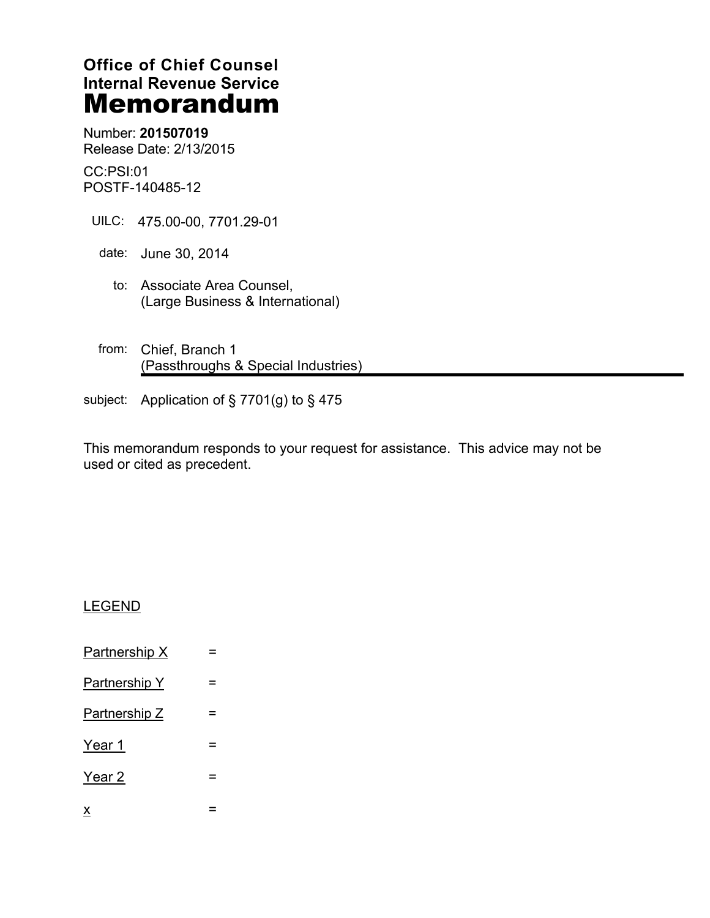# **Office of Chief Counsel Internal Revenue Service Memorandum**

Number: **201507019** Release Date: 2/13/2015

CC:PSI:01 POSTF-140485-12

- UILC: 475.00-00, 7701.29-01
	- date: June 30, 2014
		- to: Associate Area Counsel, (Large Business & International)
- from: Chief, Branch 1 (Passthroughs & Special Industries)
- subject: Application of § 7701(g) to § 475

This memorandum responds to your request for assistance. This advice may not be used or cited as precedent.

# LEGEND

| Partnership X |          |  |
|---------------|----------|--|
| Partnership Y | =        |  |
| Partnership Z | $\equiv$ |  |
| Year 1        |          |  |
| Year 2        |          |  |
| X             |          |  |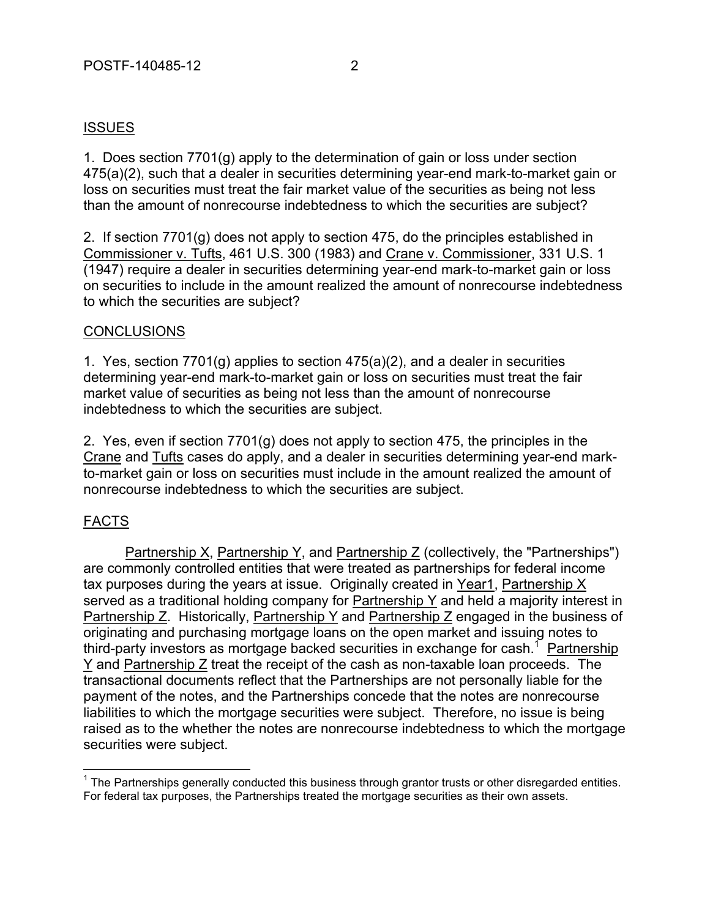## **ISSUES**

1. Does section 7701(g) apply to the determination of gain or loss under section 475(a)(2), such that a dealer in securities determining year-end mark-to-market gain or loss on securities must treat the fair market value of the securities as being not less than the amount of nonrecourse indebtedness to which the securities are subject?

2. If section 7701(g) does not apply to section 475, do the principles established in Commissioner v. Tufts, 461 U.S. 300 (1983) and Crane v. Commissioner, 331 U.S. 1 (1947) require a dealer in securities determining year-end mark-to-market gain or loss on securities to include in the amount realized the amount of nonrecourse indebtedness to which the securities are subject?

#### **CONCLUSIONS**

1. Yes, section 7701(g) applies to section 475(a)(2), and a dealer in securities determining year-end mark-to-market gain or loss on securities must treat the fair market value of securities as being not less than the amount of nonrecourse indebtedness to which the securities are subject.

2. Yes, even if section 7701(g) does not apply to section 475, the principles in the Crane and Tufts cases do apply, and a dealer in securities determining year-end markto-market gain or loss on securities must include in the amount realized the amount of nonrecourse indebtedness to which the securities are subject.

## FACTS

 $\overline{a}$ 

Partnership X, Partnership Y, and Partnership  $Z$  (collectively, the "Partnerships") are commonly controlled entities that were treated as partnerships for federal income tax purposes during the years at issue. Originally created in Year1, Partnership  $X$ served as a traditional holding company for Partnership Y and held a majority interest in Partnership Z. Historically, Partnership Y and Partnership Z engaged in the business of originating and purchasing mortgage loans on the open market and issuing notes to third-party investors as mortgage backed securities in exchange for cash.<sup>1</sup> Partnership Y and Partnership Z treat the receipt of the cash as non-taxable loan proceeds. The transactional documents reflect that the Partnerships are not personally liable for the payment of the notes, and the Partnerships concede that the notes are nonrecourse liabilities to which the mortgage securities were subject. Therefore, no issue is being raised as to the whether the notes are nonrecourse indebtedness to which the mortgage securities were subject.

 $1$  The Partnerships generally conducted this business through grantor trusts or other disregarded entities. For federal tax purposes, the Partnerships treated the mortgage securities as their own assets.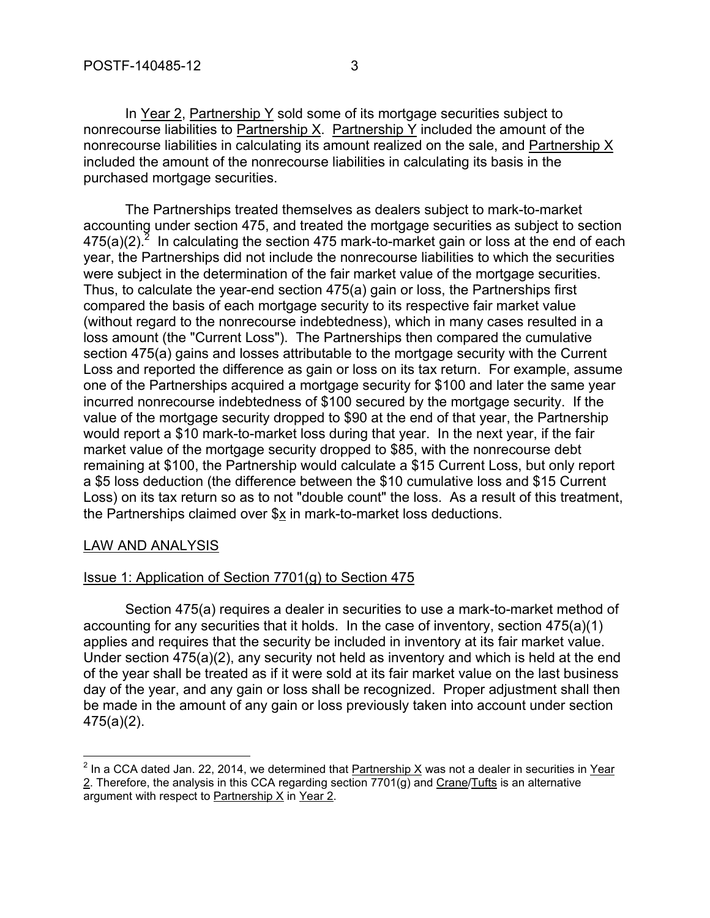In Year 2, Partnership Y sold some of its mortgage securities subject to nonrecourse liabilities to Partnership X. Partnership Y included the amount of the nonrecourse liabilities in calculating its amount realized on the sale, and Partnership  $X$ included the amount of the nonrecourse liabilities in calculating its basis in the purchased mortgage securities.

The Partnerships treated themselves as dealers subject to mark-to-market accounting under section 475, and treated the mortgage securities as subject to section  $475(a)(2)<sup>2</sup>$  In calculating the section 475 mark-to-market gain or loss at the end of each year, the Partnerships did not include the nonrecourse liabilities to which the securities were subject in the determination of the fair market value of the mortgage securities. Thus, to calculate the year-end section 475(a) gain or loss, the Partnerships first compared the basis of each mortgage security to its respective fair market value (without regard to the nonrecourse indebtedness), which in many cases resulted in a loss amount (the "Current Loss"). The Partnerships then compared the cumulative section 475(a) gains and losses attributable to the mortgage security with the Current Loss and reported the difference as gain or loss on its tax return. For example, assume one of the Partnerships acquired a mortgage security for \$100 and later the same year incurred nonrecourse indebtedness of \$100 secured by the mortgage security. If the value of the mortgage security dropped to \$90 at the end of that year, the Partnership would report a \$10 mark-to-market loss during that year. In the next year, if the fair market value of the mortgage security dropped to \$85, with the nonrecourse debt remaining at \$100, the Partnership would calculate a \$15 Current Loss, but only report a \$5 loss deduction (the difference between the \$10 cumulative loss and \$15 Current Loss) on its tax return so as to not "double count" the loss. As a result of this treatment, the Partnerships claimed over \$x in mark-to-market loss deductions.

#### LAW AND ANALYSIS

## Issue 1: Application of Section 7701(g) to Section 475

Section 475(a) requires a dealer in securities to use a mark-to-market method of accounting for any securities that it holds. In the case of inventory, section 475(a)(1) applies and requires that the security be included in inventory at its fair market value. Under section 475(a)(2), any security not held as inventory and which is held at the end of the year shall be treated as if it were sold at its fair market value on the last business day of the year, and any gain or loss shall be recognized. Proper adjustment shall then be made in the amount of any gain or loss previously taken into account under section 475(a)(2).

 $\overline{a}$ <sup>2</sup> In a CCA dated Jan. 22, 2014, we determined that **Partnership X** was not a dealer in securities in Year  $2.$  Therefore, the analysis in this CCA regarding section 7701(g) and Crane/Tufts is an alternative argument with respect to Partnership X in Year 2.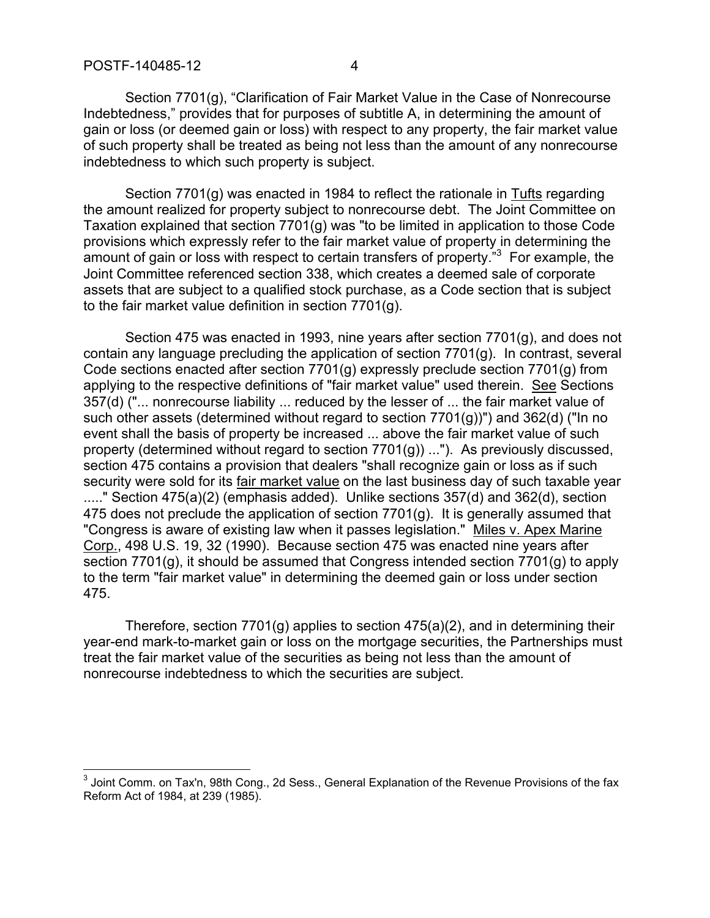$\overline{a}$ 

Section 7701(g), "Clarification of Fair Market Value in the Case of Nonrecourse Indebtedness," provides that for purposes of subtitle A, in determining the amount of gain or loss (or deemed gain or loss) with respect to any property, the fair market value of such property shall be treated as being not less than the amount of any nonrecourse indebtedness to which such property is subject.

Section 7701(g) was enacted in 1984 to reflect the rationale in Tufts regarding the amount realized for property subject to nonrecourse debt. The Joint Committee on Taxation explained that section 7701(g) was "to be limited in application to those Code provisions which expressly refer to the fair market value of property in determining the amount of gain or loss with respect to certain transfers of property.<sup>"3</sup> For example, the Joint Committee referenced section 338, which creates a deemed sale of corporate assets that are subject to a qualified stock purchase, as a Code section that is subject to the fair market value definition in section 7701(g).

Section 475 was enacted in 1993, nine years after section 7701(g), and does not contain any language precluding the application of section 7701(g). In contrast, several Code sections enacted after section 7701(g) expressly preclude section 7701(g) from applying to the respective definitions of "fair market value" used therein. See Sections 357(d) ("... nonrecourse liability ... reduced by the lesser of ... the fair market value of such other assets (determined without regard to section 7701(g))") and 362(d) ("In no event shall the basis of property be increased ... above the fair market value of such property (determined without regard to section 7701(g)) ..."). As previously discussed, section 475 contains a provision that dealers "shall recognize gain or loss as if such security were sold for its fair market value on the last business day of such taxable year ....." Section 475(a)(2) (emphasis added). Unlike sections 357(d) and 362(d), section 475 does not preclude the application of section 7701(g). It is generally assumed that "Congress is aware of existing law when it passes legislation." Miles v. Apex Marine Corp., 498 U.S. 19, 32 (1990). Because section 475 was enacted nine years after section 7701(g), it should be assumed that Congress intended section 7701(g) to apply to the term "fair market value" in determining the deemed gain or loss under section 475.

Therefore, section 7701(g) applies to section 475(a)(2), and in determining their year-end mark-to-market gain or loss on the mortgage securities, the Partnerships must treat the fair market value of the securities as being not less than the amount of nonrecourse indebtedness to which the securities are subject.

 $^3$  Joint Comm. on Tax'n, 98th Cong., 2d Sess., General Explanation of the Revenue Provisions of the fax Reform Act of 1984, at 239 (1985).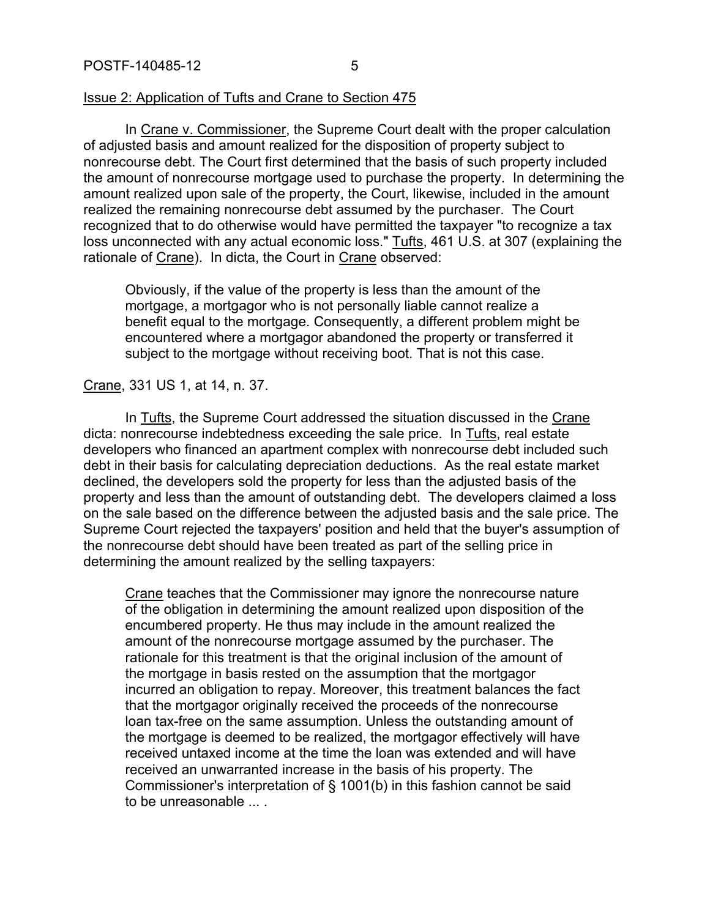#### Issue 2: Application of Tufts and Crane to Section 475

In Crane v. Commissioner, the Supreme Court dealt with the proper calculation of adjusted basis and amount realized for the disposition of property subject to nonrecourse debt. The Court first determined that the basis of such property included the amount of nonrecourse mortgage used to purchase the property. In determining the amount realized upon sale of the property, the Court, likewise, included in the amount realized the remaining nonrecourse debt assumed by the purchaser. The Court recognized that to do otherwise would have permitted the taxpayer "to recognize a tax loss unconnected with any actual economic loss." Tufts, 461 U.S. at 307 (explaining the rationale of Crane). In dicta, the Court in Crane observed:

Obviously, if the value of the property is less than the amount of the mortgage, a mortgagor who is not personally liable cannot realize a benefit equal to the mortgage. Consequently, a different problem might be encountered where a mortgagor abandoned the property or transferred it subject to the mortgage without receiving boot. That is not this case.

#### Crane, 331 US 1, at 14, n. 37.

In Tufts, the Supreme Court addressed the situation discussed in the Crane dicta: nonrecourse indebtedness exceeding the sale price. In Tufts, real estate developers who financed an apartment complex with nonrecourse debt included such debt in their basis for calculating depreciation deductions. As the real estate market declined, the developers sold the property for less than the adjusted basis of the property and less than the amount of outstanding debt. The developers claimed a loss on the sale based on the difference between the adjusted basis and the sale price. The Supreme Court rejected the taxpayers' position and held that the buyer's assumption of the nonrecourse debt should have been treated as part of the selling price in determining the amount realized by the selling taxpayers:

Crane teaches that the Commissioner may ignore the nonrecourse nature of the obligation in determining the amount realized upon disposition of the encumbered property. He thus may include in the amount realized the amount of the nonrecourse mortgage assumed by the purchaser. The rationale for this treatment is that the original inclusion of the amount of the mortgage in basis rested on the assumption that the mortgagor incurred an obligation to repay. Moreover, this treatment balances the fact that the mortgagor originally received the proceeds of the nonrecourse loan tax-free on the same assumption. Unless the outstanding amount of the mortgage is deemed to be realized, the mortgagor effectively will have received untaxed income at the time the loan was extended and will have received an unwarranted increase in the basis of his property. The Commissioner's interpretation of § 1001(b) in this fashion cannot be said to be unreasonable ... .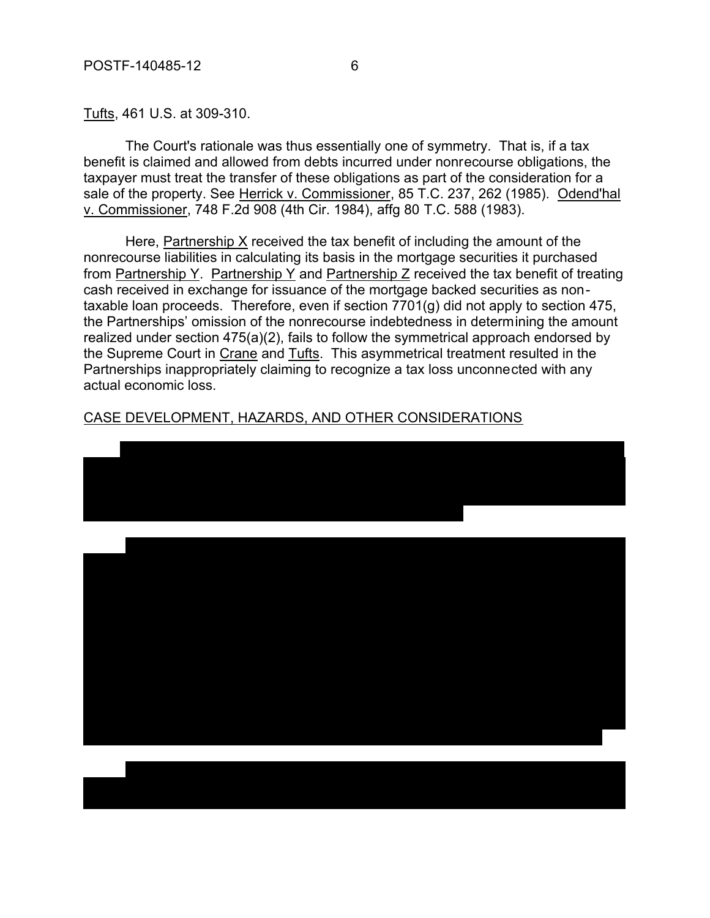Tufts, 461 U.S. at 309-310.

The Court's rationale was thus essentially one of symmetry. That is, if a tax benefit is claimed and allowed from debts incurred under nonrecourse obligations, the taxpayer must treat the transfer of these obligations as part of the consideration for a sale of the property. See Herrick v. Commissioner, 85 T.C. 237, 262 (1985). Odend'hal v. Commissioner, 748 F.2d 908 (4th Cir. 1984), affg 80 T.C. 588 (1983).

Here, **Partnership X** received the tax benefit of including the amount of the nonrecourse liabilities in calculating its basis in the mortgage securities it purchased from Partnership Y. Partnership Y and Partnership Z received the tax benefit of treating cash received in exchange for issuance of the mortgage backed securities as nontaxable loan proceeds. Therefore, even if section 7701(g) did not apply to section 475, the Partnerships' omission of the nonrecourse indebtedness in determining the amount realized under section 475(a)(2), fails to follow the symmetrical approach endorsed by the Supreme Court in Crane and Tufts. This asymmetrical treatment resulted in the Partnerships inappropriately claiming to recognize a tax loss unconnected with any actual economic loss.

## CASE DEVELOPMENT, HAZARDS, AND OTHER CONSIDERATIONS

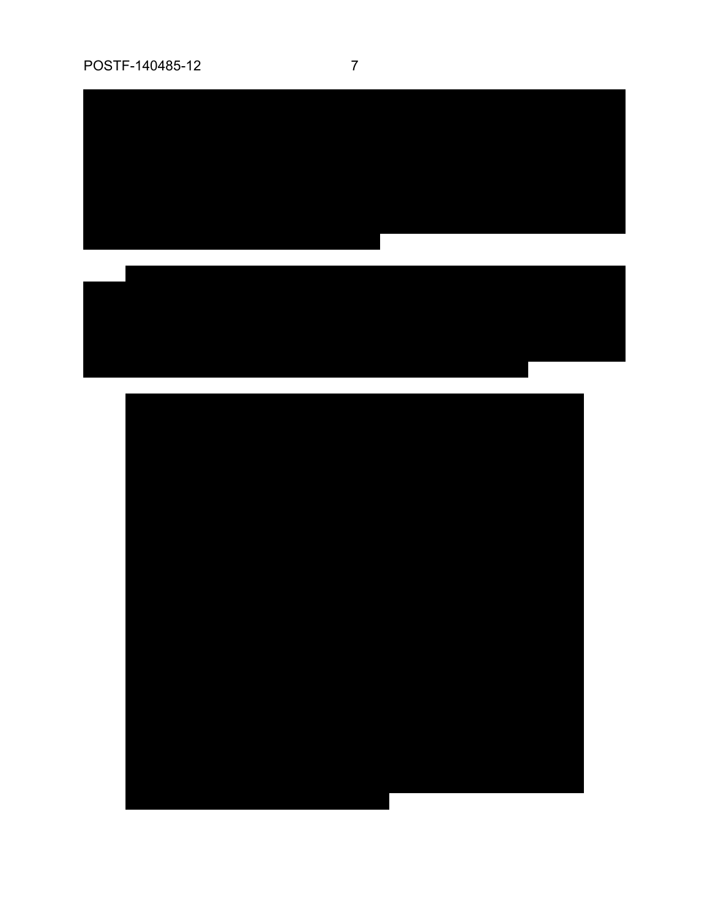# POSTF-140485-12 7





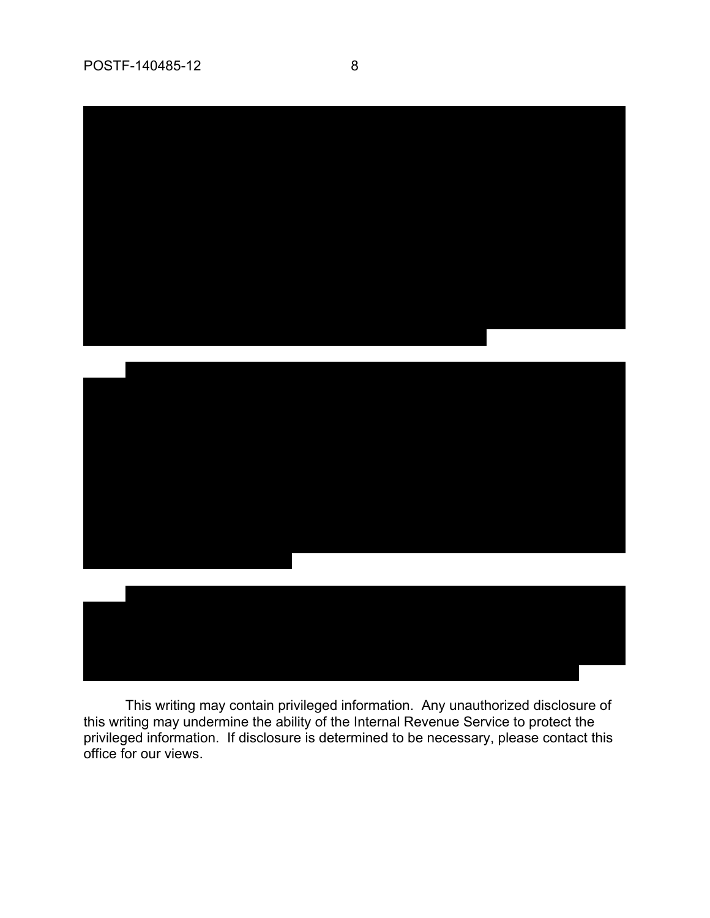





This writing may contain privileged information. Any unauthorized disclosure of this writing may undermine the ability of the Internal Revenue Service to protect the privileged information. If disclosure is determined to be necessary, please contact this office for our views.